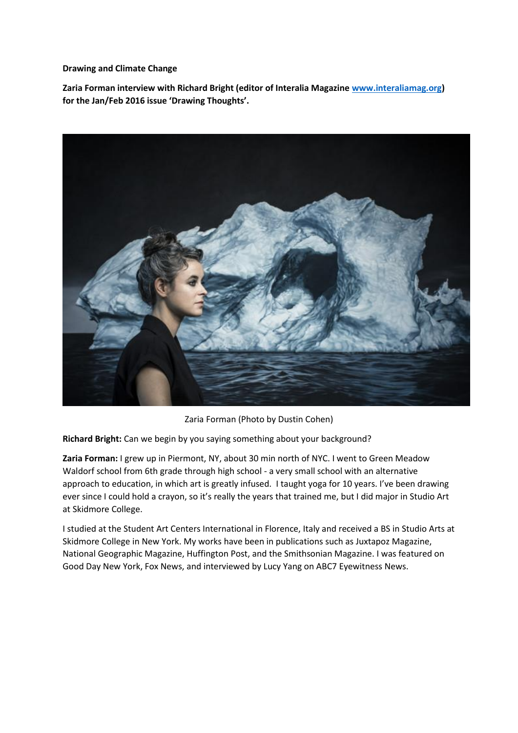**Drawing and Climate Change**

**Zaria Forman interview with Richard Bright (editor of Interalia Magazine [www.interaliamag.org\)](http://www.interaliamag.org/) for the Jan/Feb 2016 issue 'Drawing Thoughts'.**



Zaria Forman (Photo by Dustin Cohen)

**Richard Bright:** Can we begin by you saying something about your background?

**Zaria Forman:** I grew up in Piermont, NY, about 30 min north of NYC. I went to Green Meadow Waldorf school from 6th grade through high school - a very small school with an alternative approach to education, in which art is greatly infused. I taught yoga for 10 years. I've been drawing ever since I could hold a crayon, so it's really the years that trained me, but I did major in Studio Art at Skidmore College.

I studied at the Student Art Centers International in Florence, Italy and received a BS in Studio Arts at Skidmore College in New York. My works have been in publications such as Juxtapoz Magazine, National Geographic Magazine, Huffington Post, and the Smithsonian Magazine. I was featured on Good Day New York, Fox News, and interviewed by Lucy Yang on ABC7 Eyewitness News.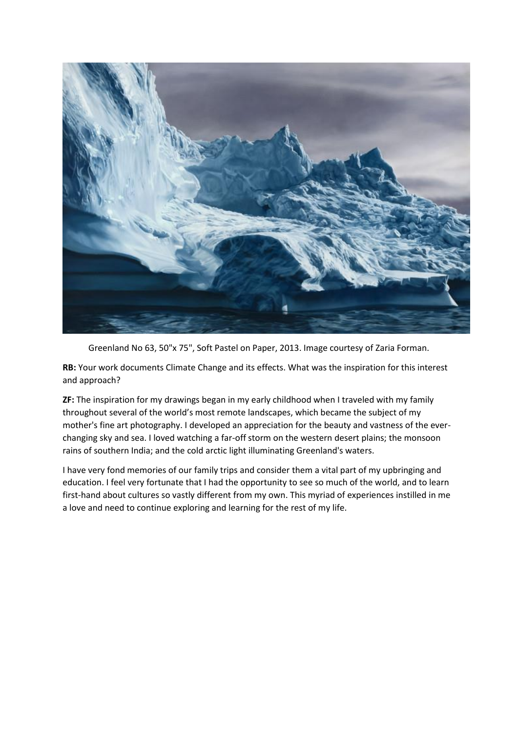

Greenland No 63, 50"x 75", Soft Pastel on Paper, 2013. Image courtesy of Zaria Forman.

**RB:** Your work documents Climate Change and its effects. What was the inspiration for this interest and approach?

**ZF:** The inspiration for my drawings began in my early childhood when I traveled with my family throughout several of the world's most remote landscapes, which became the subject of my mother's fine art photography. I developed an appreciation for the beauty and vastness of the everchanging sky and sea. I loved watching a far-off storm on the western desert plains; the monsoon rains of southern India; and the cold arctic light illuminating Greenland's waters.

I have very fond memories of our family trips and consider them a vital part of my upbringing and education. I feel very fortunate that I had the opportunity to see so much of the world, and to learn first-hand about cultures so vastly different from my own. This myriad of experiences instilled in me a love and need to continue exploring and learning for the rest of my life.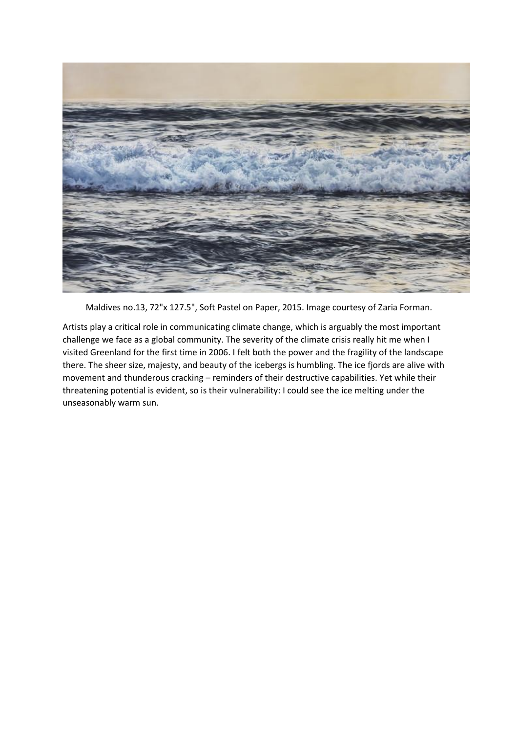

Maldives no.13, 72"x 127.5", Soft Pastel on Paper, 2015. Image courtesy of Zaria Forman.

Artists play a critical role in communicating climate change, which is arguably the most important challenge we face as a global community. The severity of the climate crisis really hit me when I visited Greenland for the first time in 2006. I felt both the power and the fragility of the landscape there. The sheer size, majesty, and beauty of the icebergs is humbling. The ice fjords are alive with movement and thunderous cracking – reminders of their destructive capabilities. Yet while their threatening potential is evident, so is their vulnerability: I could see the ice melting under the unseasonably warm sun.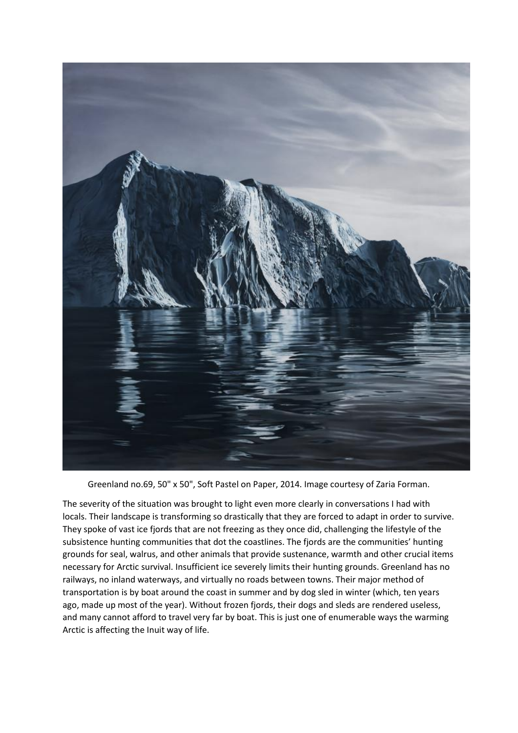

Greenland no.69, 50" x 50", Soft Pastel on Paper, 2014. Image courtesy of Zaria Forman.

The severity of the situation was brought to light even more clearly in conversations I had with locals. Their landscape is transforming so drastically that they are forced to adapt in order to survive. They spoke of vast ice fjords that are not freezing as they once did, challenging the lifestyle of the subsistence hunting communities that dot the coastlines. The fjords are the communities' hunting grounds for seal, walrus, and other animals that provide sustenance, warmth and other crucial items necessary for Arctic survival. Insufficient ice severely limits their hunting grounds. Greenland has no railways, no inland waterways, and virtually no roads between towns. Their major method of transportation is by boat around the coast in summer and by dog sled in winter (which, ten years ago, made up most of the year). Without frozen fjords, their dogs and sleds are rendered useless, and many cannot afford to travel very far by boat. This is just one of enumerable ways the warming Arctic is affecting the Inuit way of life.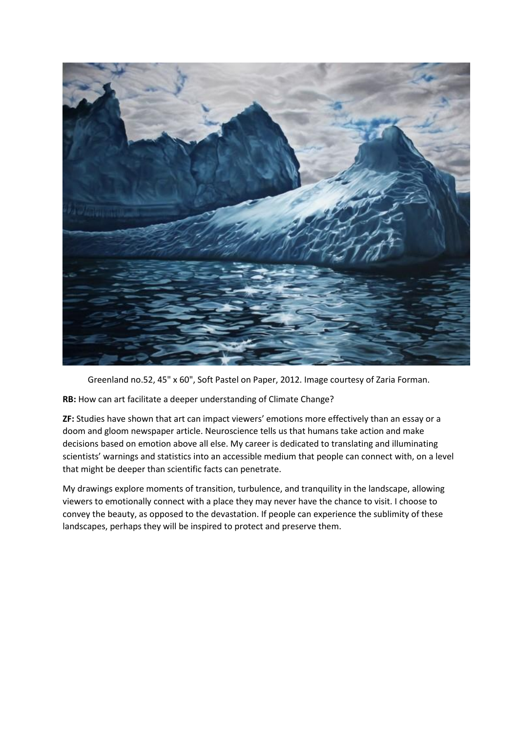

Greenland no.52, 45" x 60", Soft Pastel on Paper, 2012. Image courtesy of Zaria Forman.

**RB:** How can art facilitate a deeper understanding of Climate Change?

**ZF:** Studies have shown that art can impact viewers' emotions more effectively than an essay or a doom and gloom newspaper article. Neuroscience tells us that humans take action and make decisions based on emotion above all else. My career is dedicated to translating and illuminating scientists' warnings and statistics into an accessible medium that people can connect with, on a level that might be deeper than scientific facts can penetrate.

My drawings explore moments of transition, turbulence, and tranquility in the landscape, allowing viewers to emotionally connect with a place they may never have the chance to visit. I choose to convey the beauty, as opposed to the devastation. If people can experience the sublimity of these landscapes, perhaps they will be inspired to protect and preserve them.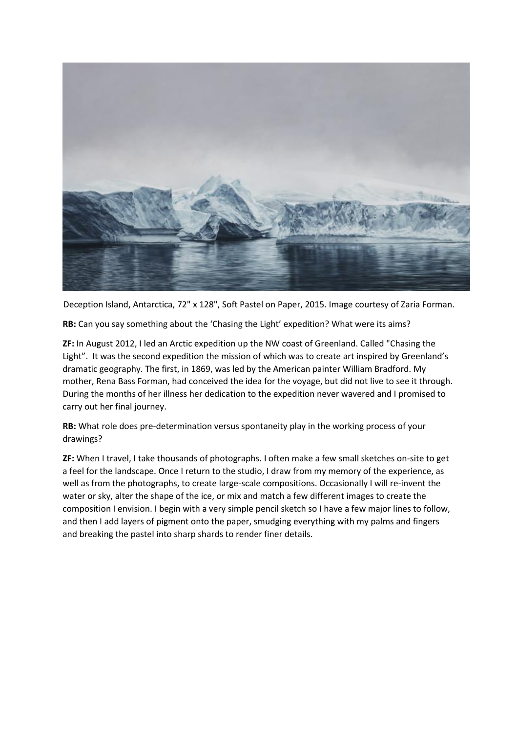

Deception Island, Antarctica, 72" x 128", Soft Pastel on Paper, 2015. Image courtesy of Zaria Forman.

**RB:** Can you say something about the 'Chasing the Light' expedition? What were its aims?

**ZF:** In August 2012, I led an Arctic expedition up the NW coast of Greenland. Called "Chasing the Light". It was the second expedition the mission of which was to create art inspired by Greenland's dramatic geography. The first, in 1869, was led by the American painter William Bradford. My mother, Rena Bass Forman, had conceived the idea for the voyage, but did not live to see it through. During the months of her illness her dedication to the expedition never wavered and I promised to carry out her final journey.

**RB:** What role does pre-determination versus spontaneity play in the working process of your drawings?

**ZF:** When I travel, I take thousands of photographs. I often make a few small sketches on-site to get a feel for the landscape. Once I return to the studio, I draw from my memory of the experience, as well as from the photographs, to create large-scale compositions. Occasionally I will re-invent the water or sky, alter the shape of the ice, or mix and match a few different images to create the composition I envision. I begin with a very simple pencil sketch so I have a few major lines to follow, and then I add layers of pigment onto the paper, smudging everything with my palms and fingers and breaking the pastel into sharp shards to render finer details.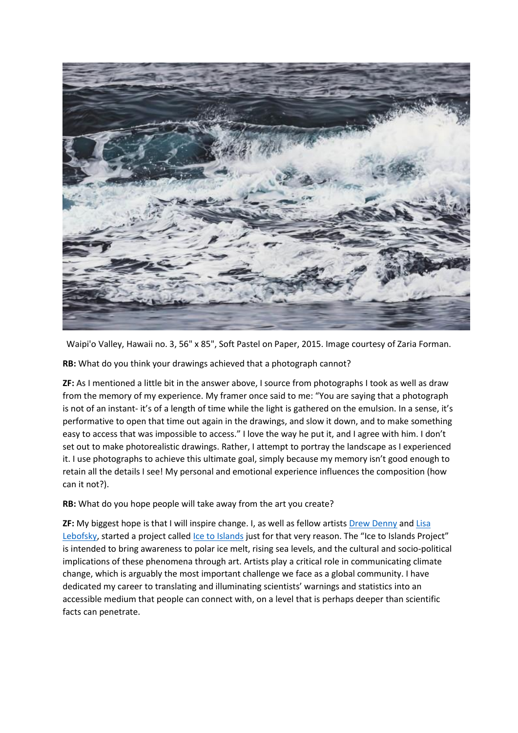

Waipi'o Valley, Hawaii no. 3, 56" x 85", Soft Pastel on Paper, 2015. Image courtesy of Zaria Forman.

**RB:** What do you think your drawings achieved that a photograph cannot?

**ZF:** As I mentioned a little bit in the answer above, I source from photographs I took as well as draw from the memory of my experience. My framer once said to me: "You are saying that a photograph is not of an instant- it's of a length of time while the light is gathered on the emulsion. In a sense, it's performative to open that time out again in the drawings, and slow it down, and to make something easy to access that was impossible to access." I love the way he put it, and I agree with him. I don't set out to make photorealistic drawings. Rather, I attempt to portray the landscape as I experienced it. I use photographs to achieve this ultimate goal, simply because my memory isn't good enough to retain all the details I see! My personal and emotional experience influences the composition (how can it not?).

**RB:** What do you hope people will take away from the art you create?

**ZF:** My biggest hope is that I will inspire change. I, as well as fellow artists [Drew Denny](http://www.drewdenny.com/) and Lisa [Lebofsky,](http://www.lisalebofsky.com/) started a project called [Ice to Islands](http://icetoislands.com/) just for that very reason. The "Ice to Islands Project" is intended to bring awareness to polar ice melt, rising sea levels, and the cultural and socio-political implications of these phenomena through art. Artists play a critical role in communicating climate change, which is arguably the most important challenge we face as a global community. I have dedicated my career to translating and illuminating scientists' warnings and statistics into an accessible medium that people can connect with, on a level that is perhaps deeper than scientific facts can penetrate.